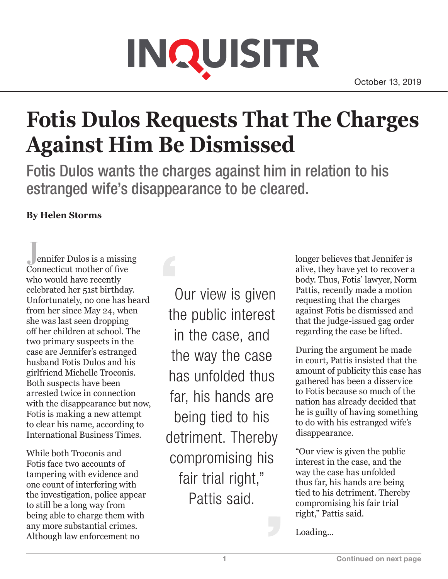## INQUISITR

## **Fotis Dulos Requests That The Charges Against Him Be Dismissed**

Fotis Dulos wants the charges against him in relation to his estranged wife's disappearance to be cleared.

## **By Helen Storms**

**J**ennifer Dulos is a missing Connecticut mother of five who would have recently celebrated her 51st birthday. Unfortunately, no one has heard from her since May 24, when she was last seen dropping off her children at school. The two primary suspects in the case are Jennifer's estranged husband Fotis Dulos and his girlfriend Michelle Troconis. Both suspects have been arrested twice in connection with the disappearance but now, Fotis is making a new attempt to clear his name, according to International Business Times.

While both Troconis and Fotis face two accounts of tampering with evidence and one count of interfering with the investigation, police appear to still be a long way from being able to charge them with any more substantial crimes. Although law enforcement no

 Our view is given the public interest in the case, and the way the case has unfolded thus far, his hands are being tied to his detriment. Thereby compromising his fair trial right," Pattis said.

longer believes that Jennifer is alive, they have yet to recover a body. Thus, Fotis' lawyer, Norm Pattis, recently made a motion requesting that the charges against Fotis be dismissed and that the judge-issued gag order regarding the case be lifted.

During the argument he made in court, Pattis insisted that the amount of publicity this case has gathered has been a disservice to Fotis because so much of the nation has already decided that he is guilty of having something to do with his estranged wife's disappearance.

"Our view is given the public interest in the case, and the way the case has unfolded thus far, his hands are being tied to his detriment. Thereby compromising his fair trial right," Pattis said.

Loading...